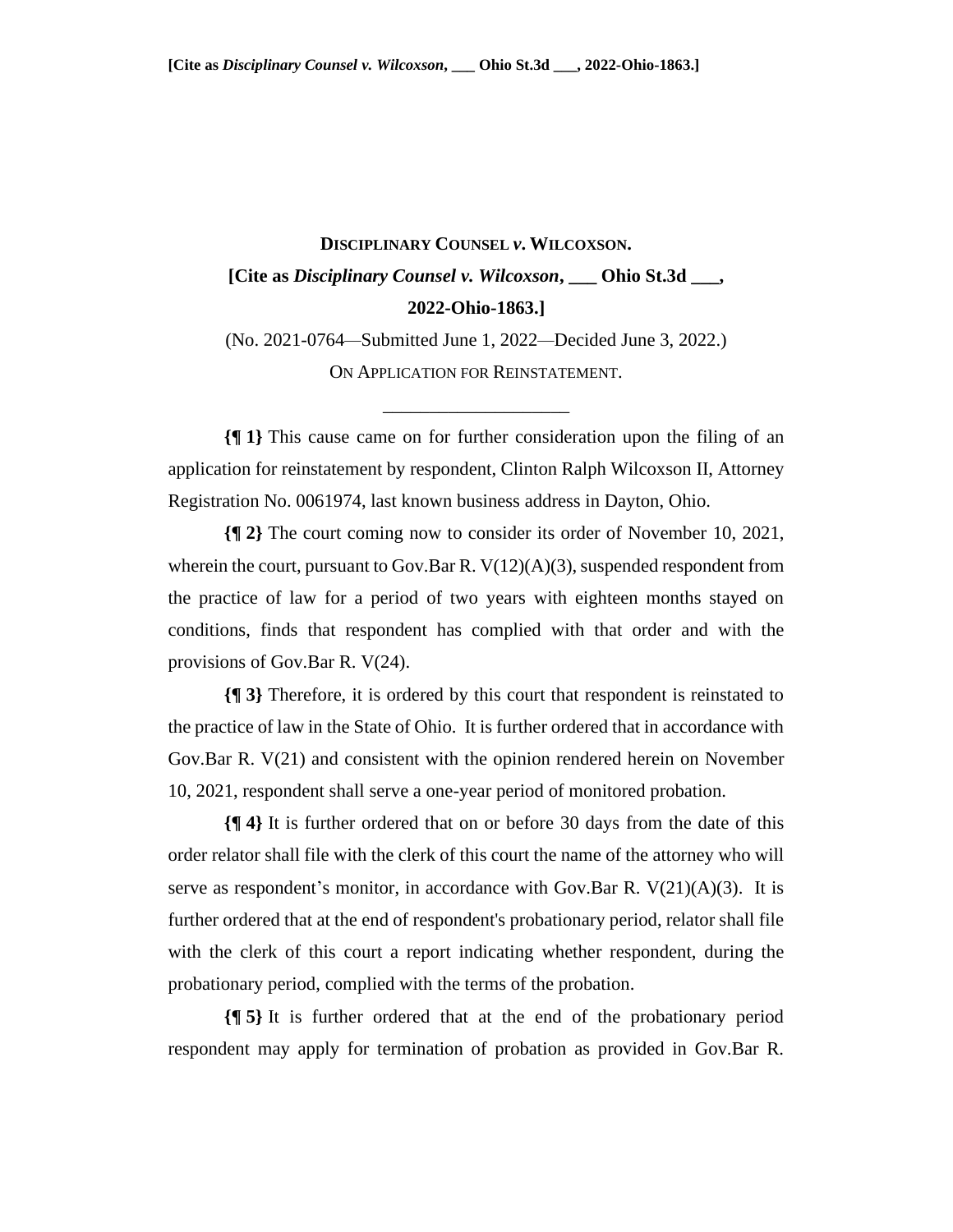## **DISCIPLINARY COUNSEL** *v***. WILCOXSON. [Cite as** *Disciplinary Counsel v. Wilcoxson***, \_\_\_ Ohio St.3d \_\_\_, 2022-Ohio-1863.]**

(No. 2021-0764*—*Submitted June 1, 2022*—*Decided June 3, 2022.) ON APPLICATION FOR REINSTATEMENT.

\_\_\_\_\_\_\_\_\_\_\_\_\_\_\_\_\_\_\_\_

**{¶ 1}** This cause came on for further consideration upon the filing of an application for reinstatement by respondent, Clinton Ralph Wilcoxson II, Attorney Registration No. 0061974, last known business address in Dayton, Ohio.

**{¶ 2}** The court coming now to consider its order of November 10, 2021, wherein the court, pursuant to Gov.Bar R.  $V(12)(A)(3)$ , suspended respondent from the practice of law for a period of two years with eighteen months stayed on conditions, finds that respondent has complied with that order and with the provisions of Gov.Bar R. V(24).

**{¶ 3}** Therefore, it is ordered by this court that respondent is reinstated to the practice of law in the State of Ohio. It is further ordered that in accordance with Gov.Bar R. V(21) and consistent with the opinion rendered herein on November 10, 2021, respondent shall serve a one-year period of monitored probation.

**{¶ 4}** It is further ordered that on or before 30 days from the date of this order relator shall file with the clerk of this court the name of the attorney who will serve as respondent's monitor, in accordance with Gov.Bar R.  $V(21)(A)(3)$ . It is further ordered that at the end of respondent's probationary period, relator shall file with the clerk of this court a report indicating whether respondent, during the probationary period, complied with the terms of the probation.

**{¶ 5}** It is further ordered that at the end of the probationary period respondent may apply for termination of probation as provided in Gov.Bar R.